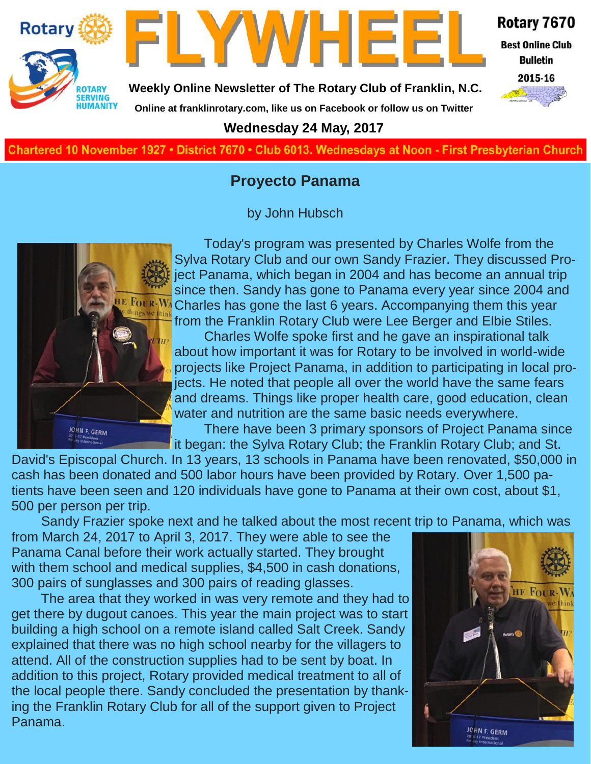



Rotary 7670 **Best Online Club** 

**Bulletin** 

**Weekly Online Newsletter of The Rotary Club of Franklin, N.C.**

**Online at franklinrotary.com, like us on Facebook or follow us on Twitter**

2015-16

### **Wednesday 24 May, 2017**

**Charted November 29, 1927 • District 7670 • Club 6013 Wednesdays at Noon - First Presbyterian Church**

### **Proyecto Panama**

by John Hubsch



Today's program was presented by Charles Wolfe from the Sylva Rotary Club and our own Sandy Frazier. They discussed Project Panama, which began in 2004 and has become an annual trip since then. Sandy has gone to Panama every year since 2004 and Charles has gone the last 6 years. Accompanying them this year from the Franklin Rotary Club were Lee Berger and Elbie Stiles.

Charles Wolfe spoke first and he gave an inspirational talk about how important it was for Rotary to be involved in world-wide projects like Project Panama, in addition to participating in local projects. He noted that people all over the world have the same fears and dreams. Things like proper health care, good education, clean water and nutrition are the same basic needs everywhere.

There have been 3 primary sponsors of Project Panama since it began: the Sylva Rotary Club; the Franklin Rotary Club; and St.

David's Episcopal Church. In 13 years, 13 schools in Panama have been renovated, \$50,000 in cash has been donated and 500 labor hours have been provided by Rotary. Over 1,500 patients have been seen and 120 individuals have gone to Panama at their own cost, about \$1, 500 per person per trip.

Sandy Frazier spoke next and he talked about the most recent trip to Panama, which was

from March 24, 2017 to April 3, 2017. They were able to see the Panama Canal before their work actually started. They brought with them school and medical supplies, \$4,500 in cash donations, 300 pairs of sunglasses and 300 pairs of reading glasses.

The area that they worked in was very remote and they had to get there by dugout canoes. This year the main project was to start building a high school on a remote island called Salt Creek. Sandy explained that there was no high school nearby for the villagers to attend. All of the construction supplies had to be sent by boat. In addition to this project, Rotary provided medical treatment to all of the local people there. Sandy concluded the presentation by thanking the Franklin Rotary Club for all of the support given to Project Panama.

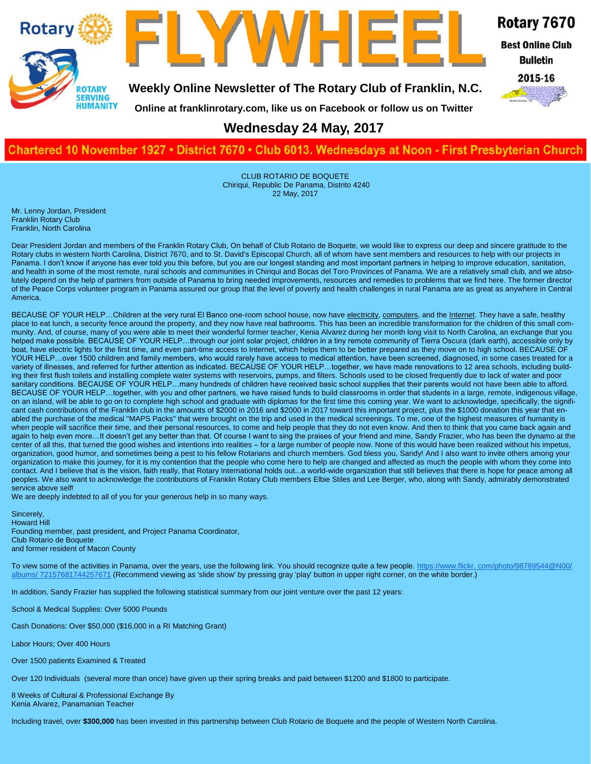



**TWHEE** 

Rotary 7670

**Best Online Club** 

**Bulletin** 2015-16



**Online at franklinrotary.com, like us on Facebook or follow us on Twitter**

### **Wednesday 24 May, 2017**

#### **Charted November 29, 1927 • District 7670 • Club 6013 Wednesdays at Noon - First Presbyterian Church**

CLUB ROTARIO DE BOQUETE Chiriqui, Republic De Panama, Distrito 4240 22 May, 2017

Mr. Lenny Jordan, President Franklin Rotary Club Franklin, North Carolina

Dear President Jordan and members of the Franklin Rotary Club, On behalf of Club Rotario de Boquete, we would like to express our deep and sincere gratitude to the Rotary clubs in western North Carolina, District 7670, and to St. David's Episcopal Church, all of whom have sent members and resources to help with our projects in Panama. I don't know if anyone has ever told you this before, but you are our longest standing and most important partners in helping to improve education, sanitation, and health in some of the most remote, rural schools and communities in Chiriqui and Bocas del Toro Provinces of Panama. We are a relatively small club, and we absolutely depend on the help of partners from outside of Panama to bring needed improvements, resources and remedies to problems that we find here. The former director of the Peace Corps volunteer program in Panama assured our group that the level of poverty and health challenges in rural Panama are as great as anywhere in Central America.

BECAUSE OF YOUR HELP...Children at the very rural El Banco one-room school house, now have electricity, computers, and the Internet. They have a safe, healthy place to eat lunch, a security fence around the property, and they now have real bathrooms. This has been an incredible transformation for the children of this small community. And, of course, many of you were able to meet their wonderful former teacher, Kenia Alvarez during her month long visit to North Carolina, an exchange that you helped make possible. BECAUSE OF YOUR HELP...through our joint solar project, children in a tiny remote community of Tierra Oscura (dark earth), accessible only by boat, have electric lights for the first time, and even part-time access to Internet, which helps them to be better prepared as they move on to high school. BECAUSE OF YOUR HELP…over 1500 children and family members, who would rarely have access to medical attention, have been screened, diagnosed, in some cases treated for a variety of illnesses, and referred for further attention as indicated. BECAUSE OF YOUR HELP…together, we have made renovations to 12 area schools, including building their first flush toilets and installing complete water systems with reservoirs, pumps, and filters. Schools used to be closed frequently due to lack of water and poor sanitary conditions. BECAUSE OF YOUR HELP...many hundreds of children have received basic school supplies that their parents would not have been able to afford. BECAUSE OF YOUR HELP…together, with you and other partners, we have raised funds to build classrooms in order that students in a large, remote, indigenous village, on an island, will be able to go on to complete high school and graduate with diplomas for the first time this coming year. We want to acknowledge, specifically, the significant cash contributions of the Franklin club in the amounts of \$2000 in 2016 and \$2000 in 2017 toward this important project, plus the \$1000 donation this year that enabled the purchase of the medical "MAPS Packs" that were brought on the trip and used in the medical screenings. To me, one of the highest measures of humanity is when people will sacrifice their time, and their personal resources, to come and help people that they do not even know. And then to think that you came back again and again to help even more...It doesn't get any better than that. Of course I want to sing the praises of your friend and mine, Sandy Frazier, who has been the dynamo at the center of all this, that turned the good wishes and intentions into realities – for a large number of people now. None of this would have been realized without his impetus, organization, good humor, and sometimes being a pest to his fellow Rotarians and church members. God bless you, Sandy! And I also want to invite others among your organization to make this journey, for it is my contention that the people who come here to help are changed and affected as much the people with whom they come into contact. And I believe that is the vision, faith really, that Rotary International holds out...a world-wide organization that still believes that there is hope for peace among all peoples. We also want to acknowledge the contributions of Franklin Rotary Club members Elbie Stiles and Lee Berger, who, along with Sandy, admirably demonstrated service above self!

We are deeply indebted to all of you for your generous help in so many ways.

Sincerely, Howard Hill Founding member, past president, and Project Panama Coordinator, Club Rotario de Boquete and former resident of Macon County

To view some of the activities in Panama, over the years, use the following link. You should recognize quite a few people. [https://www.flickr. com/photo/98789544@N00/](https://www.flickr.com/photos/98789544@N00/albums/72157681744257671) [albums/ 72157681744257671](https://www.flickr.com/photos/98789544@N00/albums/72157681744257671) (Recommend viewing as 'slide show' by pressing gray 'play' button in upper right corner, on the white border.)

In addition, Sandy Frazier has supplied the following statistical summary from our joint venture over the past 12 years:

School & Medical Supplies: Over 5000 Pounds

Cash Donations: Over \$50,000 (\$16,000 in a RI Matching Grant)

Labor Hours; Over 400 Hours

Over 1500 patients Examined & Treated

Over 120 Individuals (several more than once) have given up their spring breaks and paid between \$1200 and \$1800 to participate.

8 Weeks of Cultural & Professional Exchange By Kenia Alvarez, Panamanian Teacher

Including travel, over **\$300,000** has been invested in this partnership between Club Rotario de Boquete and the people of Western North Carolina.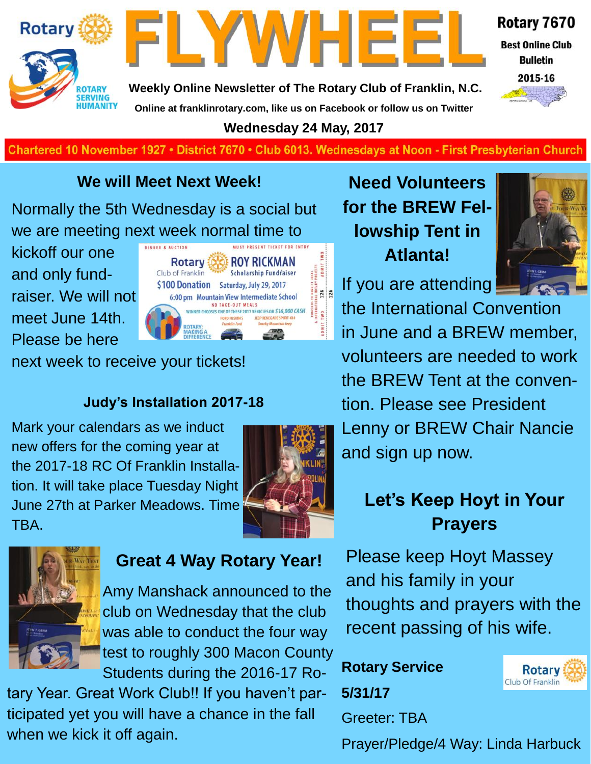



**Best Online Club Bulletin** 

Rotary 7670



**Weekly Online Newsletter of The Rotary Club of Franklin, N.C. Online at franklinrotary.com, like us on Facebook or follow us on Twitter**

**Wednesday 24 May, 2017**

**Charted November 29, 1927 • District 7670 • Club 6013 Wednesdays at Noon - First Presbyterian Church**

### **We will Meet Next Week!**

Normally the 5th Wednesday is a social but we are meeting next week normal time to

kickoff our one and only fundraiser. We will not meet June 14th. Please be here



next week to receive your tickets!

### **Judy's Installation 2017-18**

Mark your calendars as we induct new offers for the coming year at the 2017-18 RC Of Franklin Installation. It will take place Tuesday Night June 27th at Parker Meadows. Time TBA.





### **Great 4 Way Rotary Year!**

Amy Manshack announced to the club on Wednesday that the club was able to conduct the four way test to roughly 300 Macon County Students during the 2016-17 Ro-

tary Year. Great Work Club!! If you haven't participated yet you will have a chance in the fall when we kick it off again.

**Need Volunteers for the BREW Fellowship Tent in Atlanta!**



the International Convention in June and a BREW member, volunteers are needed to work the BREW Tent at the convention. Please see President Lenny or BREW Chair Nancie and sign up now.

# **Let's Keep Hoyt in Your Prayers**

Please keep Hoyt Massey and his family in your thoughts and prayers with the recent passing of his wife.

**Rotary Service 5/31/17** Greeter: TBA



Prayer/Pledge/4 Way: Linda Harbuck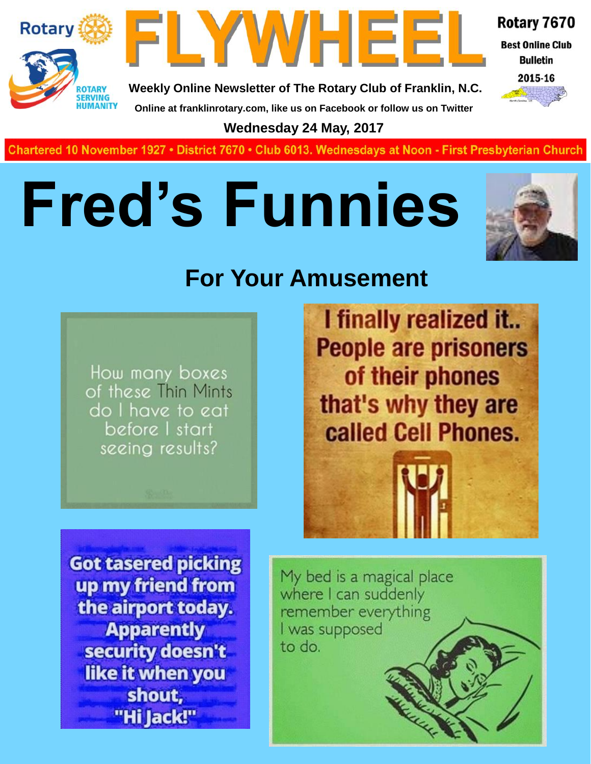



Rotary 7670 **Best Online Club** 

**Bulletin** 

2015-16

**Weekly Online Newsletter of The Rotary Club of Franklin, N.C. Online at franklinrotary.com, like us on Facebook or follow us on Twitter**

**Wednesday 24 May, 2017**

**Charted November 29, 1927 • District 7670 • Club 6013 Wednesdays at Noon - First Presbyterian Church**

# **Fred's Funnies**



# **For Your Amusement**

How many boxes of these Thin Mints do I have to eat before I start seeing results?

I finally realized it.. **People are prisoners** of their phones that's why they are called Cell Phones.

**Got tasered picking** up my friend from the airport today. **Apparently** security doesn't like it when you shout, "Hi Jack!"

My bed is a magical place where I can suddenly remember everything I was supposed to do.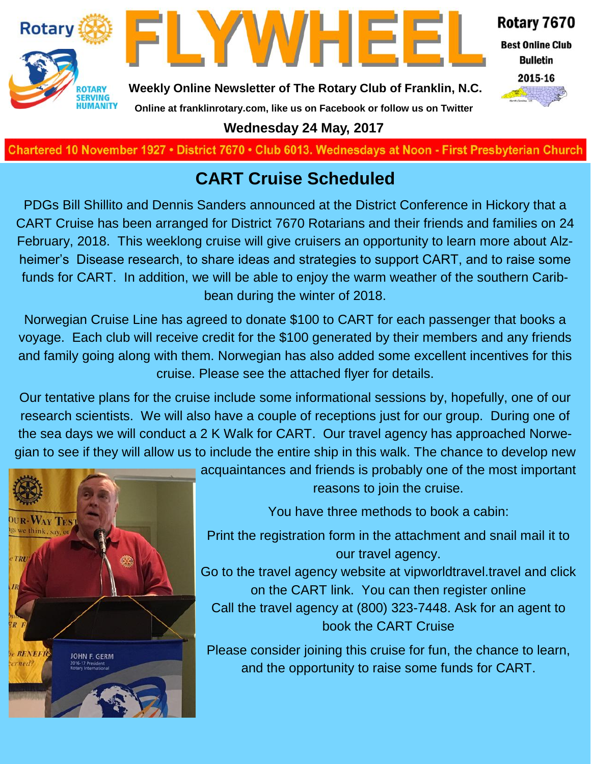



Rotary 7670

**Best Online Club Bulletin** 



**Weekly Online Newsletter of The Rotary Club of Franklin, N.C.**

## **Online at franklinrotary.com, like us on Facebook or follow us on Twitter**

**Wednesday 24 May, 2017**

Chartered 10 November 1927 • District 7670 • Club 6013. Wednesdays at Noon - First Presbyterian Church

### **CART Cruise Scheduled**

PDGs Bill Shillito and Dennis Sanders announced at the District Conference in Hickory that a CART Cruise has been arranged for District 7670 Rotarians and their friends and families on 24 February, 2018. This weeklong cruise will give cruisers an opportunity to learn more about Alzheimer's Disease research, to share ideas and strategies to support CART, and to raise some funds for CART. In addition, we will be able to enjoy the warm weather of the southern Caribbean during the winter of 2018.

Norwegian Cruise Line has agreed to donate \$100 to CART for each passenger that books a voyage. Each club will receive credit for the \$100 generated by their members and any friends and family going along with them. Norwegian has also added some excellent incentives for this cruise. Please see the attached flyer for details.

Our tentative plans for the cruise include some informational sessions by, hopefully, one of our research scientists. We will also have a couple of receptions just for our group. During one of the sea days we will conduct a 2 K Walk for CART. Our travel agency has approached Norwegian to see if they will allow us to include the entire ship in this walk. The chance to develop new



acquaintances and friends is probably one of the most important reasons to join the cruise.

You have three methods to book a cabin:

Print the registration form in the attachment and snail mail it to our travel agency.

Go to the travel agency website at vipworldtravel.travel and click on the CART link. You can then register online Call the travel agency at (800) 323-7448. Ask for an agent to book the CART Cruise

Please consider joining this cruise for fun, the chance to learn, and the opportunity to raise some funds for CART.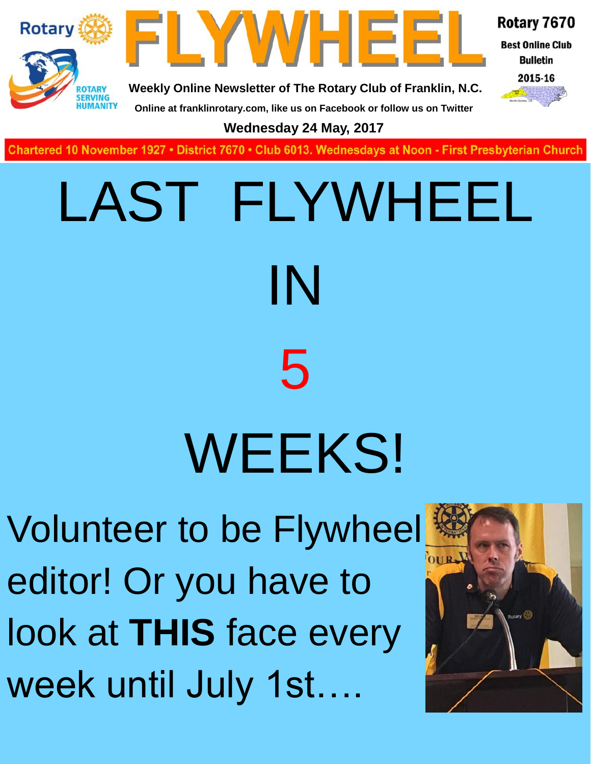



Rotary 7670

**Best Online Club Bulletin** 



**Weekly Online Newsletter of The Rotary Club of Franklin, N.C.**

**Online at franklinrotary.com, like us on Facebook or follow us on Twitter**

**Wednesday 24 May, 2017**

**Charted November 29, 1927 • District 7670 • Club 6013 Wednesdays at Noon - First Presbyterian Church**

# LAST FLYWHEEL IN 5 WEEKS!

Volunteer to be Flywheel editor! Or you have to look at **THIS** face every week until July 1st….